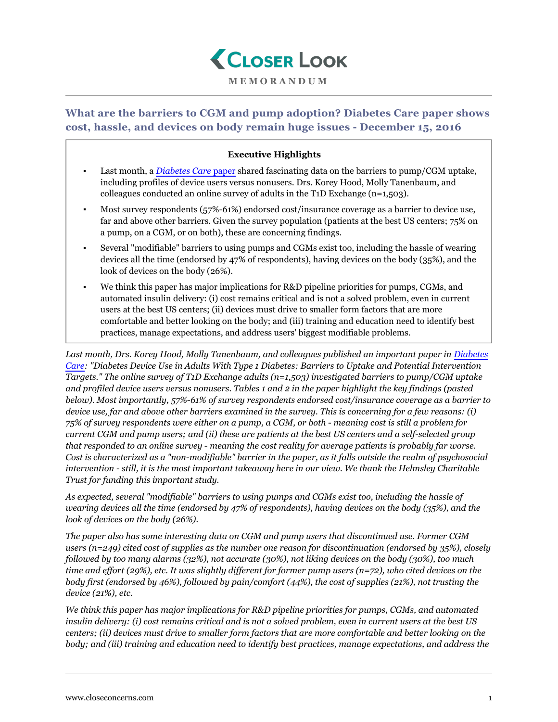

## **What are the barriers to CGM and pump adoption? Diabetes Care paper shows cost, hassle, and devices on body remain huge issues - December 15, 2016**

## **Executive Highlights**

- Last month, a *[Diabetes Care](http://care.diabetesjournals.org/content/early/2016/11/21/dc16-1536)* paper shared fascinating data on the barriers to pump/CGM uptake, including profiles of device users versus nonusers. Drs. Korey Hood, Molly Tanenbaum, and colleagues conducted an online survey of adults in the T1D Exchange (n=1,503).
- Most survey respondents (57%-61%) endorsed cost/insurance coverage as a barrier to device use, far and above other barriers. Given the survey population (patients at the best US centers; 75% on a pump, on a CGM, or on both), these are concerning findings.
- Several "modifiable" barriers to using pumps and CGMs exist too, including the hassle of wearing devices all the time (endorsed by 47% of respondents), having devices on the body (35%), and the look of devices on the body (26%).
- We think this paper has major implications for R&D pipeline priorities for pumps, CGMs, and automated insulin delivery: (i) cost remains critical and is not a solved problem, even in current users at the best US centers; (ii) devices must drive to smaller form factors that are more comfortable and better looking on the body; and (iii) training and education need to identify best practices, manage expectations, and address users' biggest modifiable problems.

*Last month, Drs. Korey Hood, Molly Tanenbaum, and colleagues published an important paper in [Diabetes](http://care.diabetesjournals.org/content/early/2016/11/21/dc16-1536) [Care:](http://care.diabetesjournals.org/content/early/2016/11/21/dc16-1536) "Diabetes Device Use in Adults With Type 1 Diabetes: Barriers to Uptake and Potential Intervention Targets." The online survey of T1D Exchange adults (n=1,503) investigated barriers to pump/CGM uptake and profiled device users versus nonusers. Tables 1 and 2 in the paper highlight the key findings (pasted below). Most importantly, 57%-61% of survey respondents endorsed cost/insurance coverage as a barrier to device use, far and above other barriers examined in the survey. This is concerning for a few reasons: (i) 75% of survey respondents were either on a pump, a CGM, or both - meaning cost is still a problem for current CGM and pump users; and (ii) these are patients at the best US centers and a self-selected group that responded to an online survey - meaning the cost reality for average patients is probably far worse. Cost is characterized as a "non-modifiable" barrier in the paper, as it falls outside the realm of psychosocial intervention - still, it is the most important takeaway here in our view. We thank the Helmsley Charitable Trust for funding this important study.*

*As expected, several "modifiable" barriers to using pumps and CGMs exist too, including the hassle of wearing devices all the time (endorsed by 47% of respondents), having devices on the body (35%), and the look of devices on the body (26%).*

*The paper also has some interesting data on CGM and pump users that discontinued use. Former CGM users (n=249) cited cost of supplies as the number one reason for discontinuation (endorsed by 35%), closely followed by too many alarms (32%), not accurate (30%), not liking devices on the body (30%), too much time and effort (29%), etc. It was slightly different for former pump users (n=72), who cited devices on the body first (endorsed by 46%), followed by pain/comfort (44%), the cost of supplies (21%), not trusting the device (21%), etc.*

*We think this paper has major implications for R&D pipeline priorities for pumps, CGMs, and automated insulin delivery: (i) cost remains critical and is not a solved problem, even in current users at the best US centers; (ii) devices must drive to smaller form factors that are more comfortable and better looking on the body; and (iii) training and education need to identify best practices, manage expectations, and address the*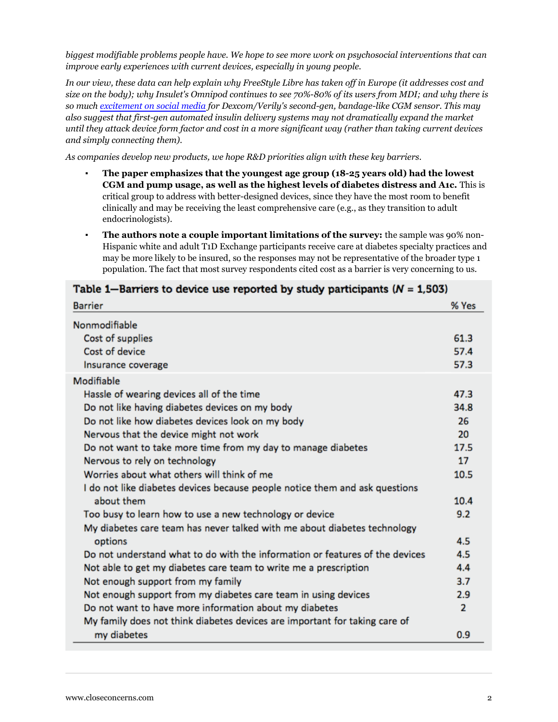*biggest modifiable problems people have. We hope to see more work on psychosocial interventions that can improve early experiences with current devices, especially in young people.*

*In our view, these data can help explain why FreeStyle Libre has taken off in Europe (it addresses cost and size on the body); why Insulet's Omnipod continues to see 70%-80% of its users from MDI; and why there is so much [excitement on social media](https://www.facebook.com/diaTribeNews/photos/a.10151559423507103.1073741825.100504132102/10154792497802103/?type=3&theater) for Dexcom/Verily's second-gen, bandage-like CGM sensor. This may also suggest that first-gen automated insulin delivery systems may not dramatically expand the market until they attack device form factor and cost in a more significant way (rather than taking current devices and simply connecting them).*

*As companies develop new products, we hope R&D priorities align with these key barriers.*

- **The paper emphasizes that the youngest age group (18-25 years old) had the lowest CGM and pump usage, as well as the highest levels of diabetes distress and A1c.** This is critical group to address with better-designed devices, since they have the most room to benefit clinically and may be receiving the least comprehensive care (e.g., as they transition to adult endocrinologists).
- **The authors note a couple important limitations of the survey:** the sample was 90% non-Hispanic white and adult T1D Exchange participants receive care at diabetes specialty practices and may be more likely to be insured, so the responses may not be representative of the broader type 1 population. The fact that most survey respondents cited cost as a barrier is very concerning to us.

| <b>Barrier</b>                                                               | % Yes          |
|------------------------------------------------------------------------------|----------------|
| Nonmodifiable                                                                |                |
| Cost of supplies                                                             | 61.3           |
| Cost of device                                                               | 57.4           |
| Insurance coverage                                                           | 57.3           |
| Modifiable                                                                   |                |
| Hassle of wearing devices all of the time                                    | 47.3           |
| Do not like having diabetes devices on my body                               | 34.8           |
| Do not like how diabetes devices look on my body                             | 26             |
| Nervous that the device might not work                                       | 20             |
| Do not want to take more time from my day to manage diabetes                 | 17.5           |
| Nervous to rely on technology                                                | 17             |
| Worries about what others will think of me                                   | 10.5           |
| I do not like diabetes devices because people notice them and ask questions  |                |
| about them                                                                   | 10.4           |
| Too busy to learn how to use a new technology or device                      | 9.2            |
| My diabetes care team has never talked with me about diabetes technology     |                |
| options                                                                      | 4.5            |
| Do not understand what to do with the information or features of the devices | 4.5            |
| Not able to get my diabetes care team to write me a prescription             | 4.4            |
| Not enough support from my family                                            | 3.7            |
| Not enough support from my diabetes care team in using devices               | 2.9            |
| Do not want to have more information about my diabetes                       | $\overline{2}$ |
| My family does not think diabetes devices are important for taking care of   |                |
| my diabetes                                                                  | 0.9            |

## Table 1–Barriers to device use reported by study participants  $(N = 1.503)$